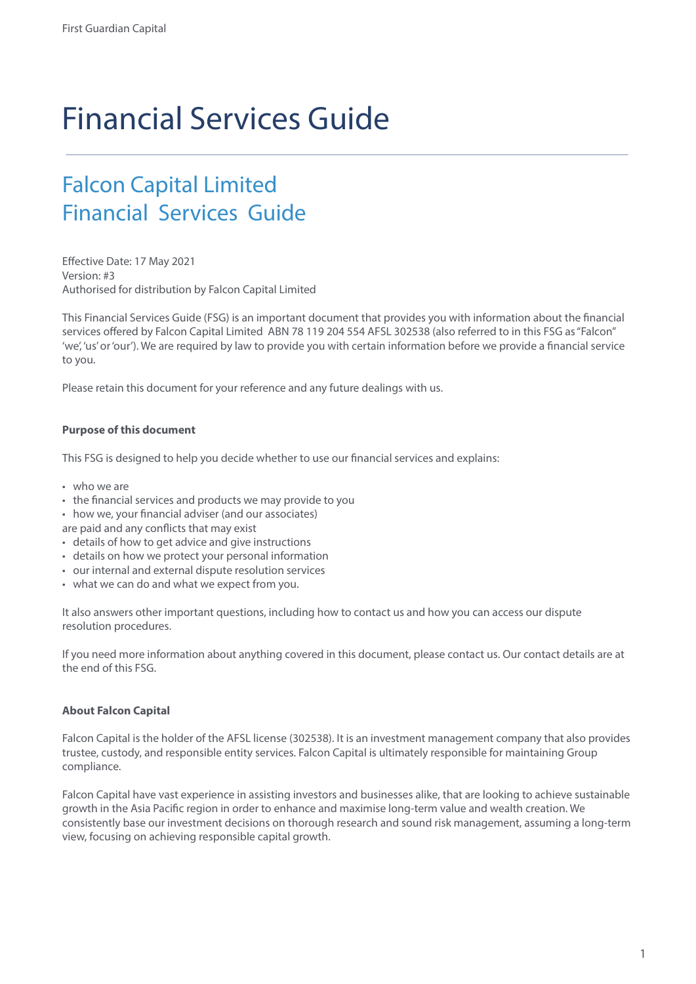# Financial Services Guide

### Falcon Capital Limited Financial Services Guide

Effective Date: 17 May 2021 Version: #3 Authorised for distribution by Falcon Capital Limited

This Financial Services Guide (FSG) is an important document that provides you with information about the financial services offered by Falcon Capital Limited ABN 78 119 204 554 AFSL 302538 (also referred to in this FSG as "Falcon" 'we', 'us' or 'our'). We are required by law to provide you with certain information before we provide a financial service to you.

Please retain this document for your reference and any future dealings with us.

#### **Purpose of this document**

This FSG is designed to help you decide whether to use our financial services and explains:

- who we are
- the financial services and products we may provide to you
- how we, your financial adviser (and our associates)
- are paid and any conflicts that may exist
- details of how to get advice and give instructions
- details on how we protect your personal information
- our internal and external dispute resolution services
- what we can do and what we expect from you.

It also answers other important questions, including how to contact us and how you can access our dispute resolution procedures.

If you need more information about anything covered in this document, please contact us. Our contact details are at the end of this FSG.

#### **About Falcon Capital**

Falcon Capital is the holder of the AFSL license (302538). It is an investment management company that also provides trustee, custody, and responsible entity services. Falcon Capital is ultimately responsible for maintaining Group compliance.

Falcon Capital have vast experience in assisting investors and businesses alike, that are looking to achieve sustainable growth in the Asia Pacific region in order to enhance and maximise long-term value and wealth creation. We consistently base our investment decisions on thorough research and sound risk management, assuming a long-term view, focusing on achieving responsible capital growth.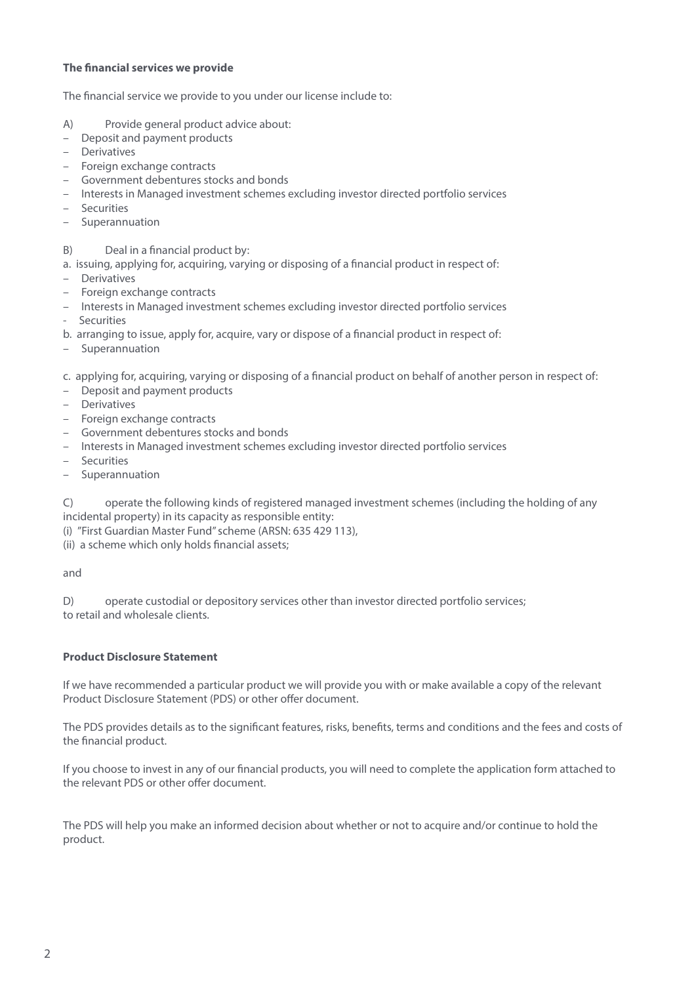#### **The financial services we provide**

The financial service we provide to you under our license include to:

- A) Provide general product advice about:
- Deposit and payment products
- Derivatives
- Foreign exchange contracts
- Government debentures stocks and bonds
- Interests in Managed investment schemes excluding investor directed portfolio services
- Securities
- Superannuation
- B) Deal in a financial product by:
- a. issuing, applying for, acquiring, varying or disposing of a financial product in respect of:
- Derivatives
- Foreign exchange contracts
- Interests in Managed investment schemes excluding investor directed portfolio services
- Securities
- b. arranging to issue, apply for, acquire, vary or dispose of a financial product in respect of:
- Superannuation

c. applying for, acquiring, varying or disposing of a financial product on behalf of another person in respect of:

- Deposit and payment products
- Derivatives
- Foreign exchange contracts
- Government debentures stocks and bonds
- Interests in Managed investment schemes excluding investor directed portfolio services
- Securities
- Superannuation

C) operate the following kinds of registered managed investment schemes (including the holding of any incidental property) in its capacity as responsible entity:

(i) "First Guardian Master Fund" scheme (ARSN: 635 429 113),

(ii) a scheme which only holds financial assets;

and

D) operate custodial or depository services other than investor directed portfolio services; to retail and wholesale clients.

#### **Product Disclosure Statement**

If we have recommended a particular product we will provide you with or make available a copy of the relevant Product Disclosure Statement (PDS) or other offer document.

The PDS provides details as to the significant features, risks, benefits, terms and conditions and the fees and costs of the financial product.

If you choose to invest in any of our financial products, you will need to complete the application form attached to the relevant PDS or other offer document.

The PDS will help you make an informed decision about whether or not to acquire and/or continue to hold the product.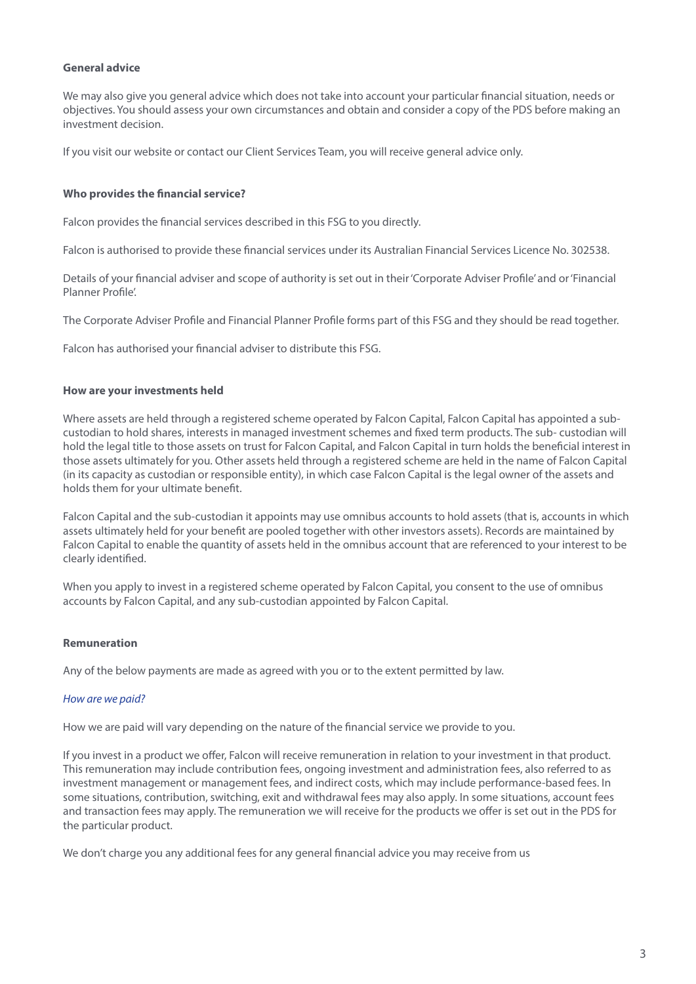#### **General advice**

We may also give you general advice which does not take into account your particular financial situation, needs or objectives. You should assess your own circumstances and obtain and consider a copy of the PDS before making an investment decision.

If you visit our website or contact our Client Services Team, you will receive general advice only.

#### **Who provides the financial service?**

Falcon provides the financial services described in this FSG to you directly.

Falcon is authorised to provide these financial services under its Australian Financial Services Licence No. 302538.

Details of your financial adviser and scope of authority is set out in their 'Corporate Adviser Profile' and or 'Financial Planner Profile'.

The Corporate Adviser Profile and Financial Planner Profile forms part of this FSG and they should be read together.

Falcon has authorised your financial adviser to distribute this FSG.

#### **How are your investments held**

Where assets are held through a registered scheme operated by Falcon Capital, Falcon Capital has appointed a subcustodian to hold shares, interests in managed investment schemes and fixed term products. The sub- custodian will hold the legal title to those assets on trust for Falcon Capital, and Falcon Capital in turn holds the beneficial interest in those assets ultimately for you. Other assets held through a registered scheme are held in the name of Falcon Capital (in its capacity as custodian or responsible entity), in which case Falcon Capital is the legal owner of the assets and holds them for your ultimate benefit.

Falcon Capital and the sub-custodian it appoints may use omnibus accounts to hold assets (that is, accounts in which assets ultimately held for your benefit are pooled together with other investors assets). Records are maintained by Falcon Capital to enable the quantity of assets held in the omnibus account that are referenced to your interest to be clearly identified.

When you apply to invest in a registered scheme operated by Falcon Capital, you consent to the use of omnibus accounts by Falcon Capital, and any sub-custodian appointed by Falcon Capital.

#### **Remuneration**

Any of the below payments are made as agreed with you or to the extent permitted by law.

#### *How are we paid?*

How we are paid will vary depending on the nature of the financial service we provide to you.

If you invest in a product we offer, Falcon will receive remuneration in relation to your investment in that product. This remuneration may include contribution fees, ongoing investment and administration fees, also referred to as investment management or management fees, and indirect costs, which may include performance-based fees. In some situations, contribution, switching, exit and withdrawal fees may also apply. In some situations, account fees and transaction fees may apply. The remuneration we will receive for the products we offer is set out in the PDS for the particular product.

We don't charge you any additional fees for any general financial advice you may receive from us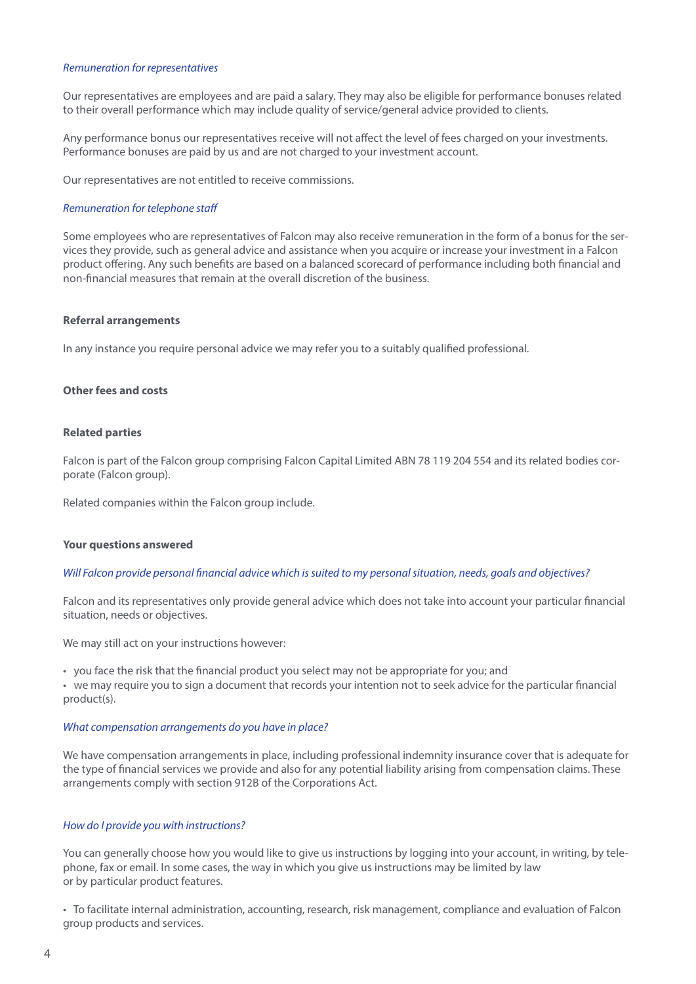#### *Remuneration for representatives*

Our representatives are employees and are paid a salary. They may also be eligible for performance bonuses related to their overall performance which may include quality of service/general advice provided to clients.

Any performance bonus our representatives receive will not affect the level of fees charged on your investments. Performance bonuses are paid by us and are not charged to your investment account.

Our representatives are not entitled to receive commissions.

#### *Remuneration for telephone staff*

Some employees who are representatives of Falcon may also receive remuneration in the form of a bonus for the services they provide, such as general advice and assistance when you acquire or increase your investment in a Falcon product offering. Any such benefits are based on a balanced scorecard of performance including both financial and non-financial measures that remain at the overall discretion of the business.

#### **Referral arrangements**

In any instance you require personal advice we may refer you to a suitably qualified professional.

#### **Other fees and costs**

#### **Related parties**

Falcon is part of the Falcon group comprising Falcon Capital Limited ABN 78 119 204 554 and its related bodies corporate (Falcon group).

Related companies within the Falcon group include.

#### **Your questions answered**

#### *Will Falcon provide personal financial advice which is suited to my personal situation, needs, goals and objectives?*

Falcon and its representatives only provide general advice which does not take into account your particular financial situation, needs or objectives.

We may still act on your instructions however:

• you face the risk that the financial product you select may not be appropriate for you; and

• we may require you to sign a document that records your intention not to seek advice for the particular financial product(s).

#### *What compensation arrangements do you have in place?*

We have compensation arrangements in place, including professional indemnity insurance cover that is adequate for the type of financial services we provide and also for any potential liability arising from compensation claims. These arrangements comply with section 912B of the Corporations Act.

#### *How do I provide you with instructions?*

You can generally choose how you would like to give us instructions by logging into your account, in writing, by telephone, fax or email. In some cases, the way in which you give us instructions may be limited by law or by particular product features.

• To facilitate internal administration, accounting, research, risk management, compliance and evaluation of Falcon group products and services.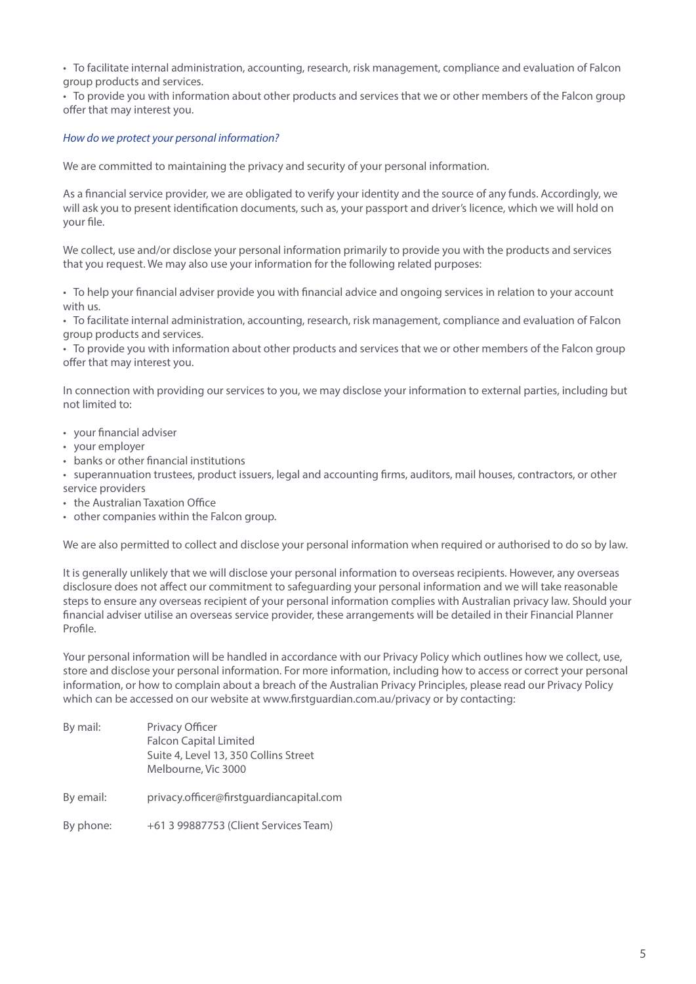• To facilitate internal administration, accounting, research, risk management, compliance and evaluation of Falcon group products and services.

• To provide you with information about other products and services that we or other members of the Falcon group offer that may interest you.

#### *How do we protect your personal information?*

We are committed to maintaining the privacy and security of your personal information.

As a financial service provider, we are obligated to verify your identity and the source of any funds. Accordingly, we will ask you to present identification documents, such as, your passport and driver's licence, which we will hold on your file.

We collect, use and/or disclose your personal information primarily to provide you with the products and services that you request. We may also use your information for the following related purposes:

• To help your financial adviser provide you with financial advice and ongoing services in relation to your account with us.

• To facilitate internal administration, accounting, research, risk management, compliance and evaluation of Falcon group products and services.

• To provide you with information about other products and services that we or other members of the Falcon group offer that may interest you.

In connection with providing our services to you, we may disclose your information to external parties, including but not limited to:

- your financial adviser
- your employer
- banks or other financial institutions
- superannuation trustees, product issuers, legal and accounting firms, auditors, mail houses, contractors, or other service providers
- the Australian Taxation Office
- other companies within the Falcon group.

We are also permitted to collect and disclose your personal information when required or authorised to do so by law.

It is generally unlikely that we will disclose your personal information to overseas recipients. However, any overseas disclosure does not affect our commitment to safeguarding your personal information and we will take reasonable steps to ensure any overseas recipient of your personal information complies with Australian privacy law. Should your financial adviser utilise an overseas service provider, these arrangements will be detailed in their Financial Planner Profile.

Your personal information will be handled in accordance with our Privacy Policy which outlines how we collect, use, store and disclose your personal information. For more information, including how to access or correct your personal information, or how to complain about a breach of the Australian Privacy Principles, please read our Privacy Policy which can be accessed on our website at www.firstguardian.com.au/privacy or by contacting:

| By mail:  | Privacy Officer<br><b>Falcon Capital Limited</b><br>Suite 4, Level 13, 350 Collins Street<br>Melbourne, Vic 3000 |
|-----------|------------------------------------------------------------------------------------------------------------------|
| By email: | privacy.officer@firstguardiancapital.com                                                                         |
| By phone: | +61 3 99887753 (Client Services Team)                                                                            |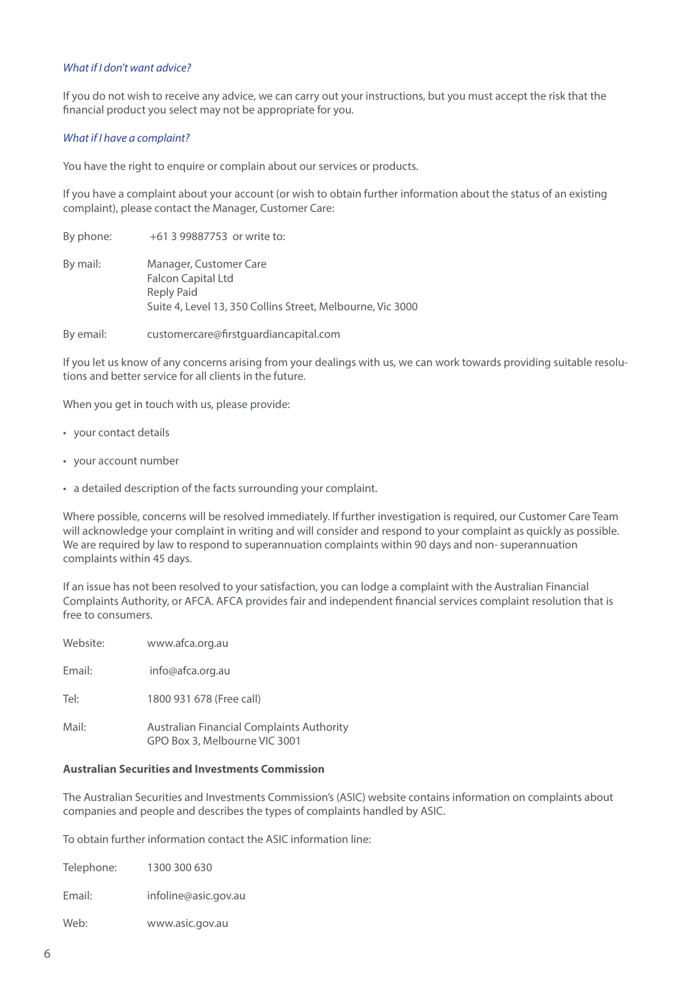#### *What if I don't want advice?*

If you do not wish to receive any advice, we can carry out your instructions, but you must accept the risk that the financial product you select may not be appropriate for you.

#### *What if I have a complaint?*

You have the right to enquire or complain about our services or products.

If you have a complaint about your account (or wish to obtain further information about the status of an existing complaint), please contact the Manager, Customer Care:

| By phone: | +61 3 99887753 or write to:                                                                                                            |
|-----------|----------------------------------------------------------------------------------------------------------------------------------------|
| By mail:  | Manager, Customer Care<br><b>Falcon Capital Ltd</b><br><b>Reply Paid</b><br>Suite 4, Level 13, 350 Collins Street, Melbourne, Vic 3000 |
| By email: | customercare@firstquardiancapital.com                                                                                                  |

If you let us know of any concerns arising from your dealings with us, we can work towards providing suitable resolutions and better service for all clients in the future.

When you get in touch with us, please provide:

- your contact details
- your account number
- a detailed description of the facts surrounding your complaint.

Where possible, concerns will be resolved immediately. If further investigation is required, our Customer Care Team will acknowledge your complaint in writing and will consider and respond to your complaint as quickly as possible. We are required by law to respond to superannuation complaints within 90 days and non- superannuation complaints within 45 days.

If an issue has not been resolved to your satisfaction, you can lodge a complaint with the Australian Financial Complaints Authority, or AFCA. AFCA provides fair and independent financial services complaint resolution that is free to consumers.

| Website: | www.afca.org.au                                                            |
|----------|----------------------------------------------------------------------------|
| Email:   | info@afca.org.au                                                           |
| Tel:     | 1800 931 678 (Free call)                                                   |
| Mail:    | Australian Financial Complaints Authority<br>GPO Box 3, Melbourne VIC 3001 |

#### **Australian Securities and Investments Commission**

The Australian Securities and Investments Commission's (ASIC) website contains information on complaints about companies and people and describes the types of complaints handled by ASIC.

To obtain further information contact the ASIC information line:

| Telephone: | 1300 300 630         |
|------------|----------------------|
| Email:     | infoline@asic.gov.au |
| Web:       | www.asic.gov.au      |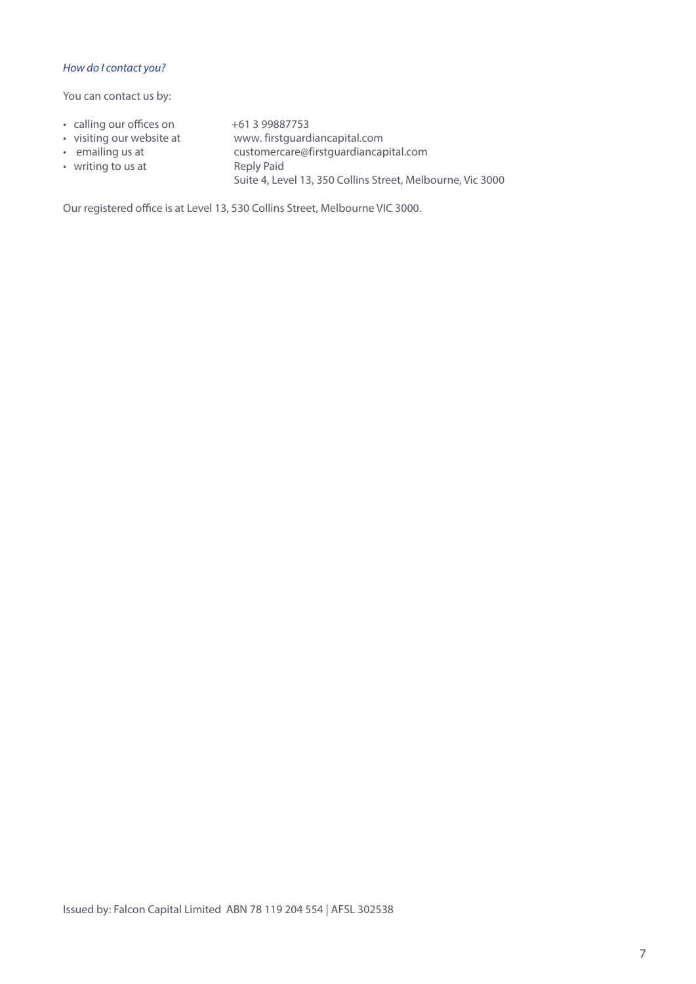#### *How do I contact you?*

You can contact us by:

- calling our offices on  $+61$  3 99887753
- visiting our website at www. firstguardiancapital.com
- emailing us at • writing to us at
- customercare@firstguardiancapital.com Reply Paid Suite 4, Level 13, 350 Collins Street, Melbourne, Vic 3000

Our registered office is at Level 13, 530 Collins Street, Melbourne VIC 3000.